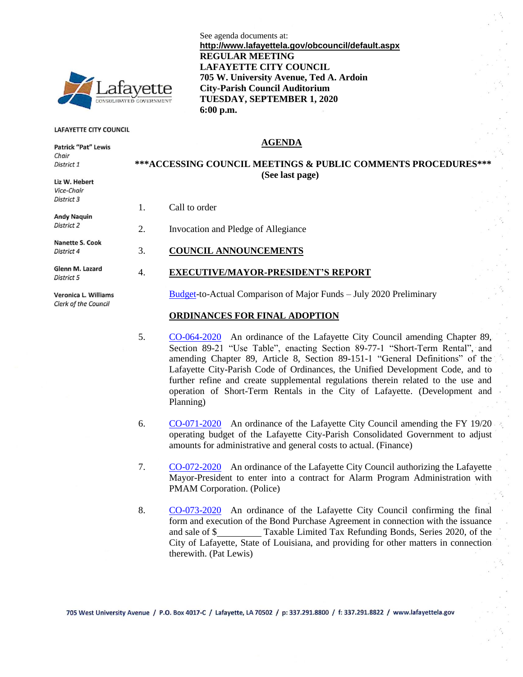

#### **LAFAYETTE CITY COUNCIL**

**Patrick "Pat" Lewis** 

Liz W. Hebert

Chair District 1

#### **AGENDA**

**705 W. University Avenue, Ted A. Ardoin**

See agenda documents at:

**REGULAR MEETING**

**LAFAYETTE CITY COUNCIL**

**City-Parish Council Auditorium TUESDAY, SEPTEMBER 1, 2020**

#### **\*\*\*ACCESSING COUNCIL MEETINGS & PUBLIC COMMENTS PROCEDURES\*\*\* (See last page)**

**http://www.lafayettela.gov/obcouncil/default.aspx** 

 $\mathcal{L}_{\text{max}}$ 

1. Call to order

| DISTRICT 2             |  |
|------------------------|--|
| <b>Nanette S. Cook</b> |  |
| District 4             |  |
| Clopp M. Lozard        |  |

District 5

Veronica L. Williams Clerk of the Council

- 
- 
- 2. Invocation and Pledge of Allegiance

**6:00 p.m.**

3. **COUNCIL ANNOUNCEMENTS**

#### 4. **EXECUTIVE/MAYOR-PRESIDENT'S REPORT**

[Budget-](http://apps.lafayettela.gov/OBCouncil/ViewDocument.aspx?docID=1878668)to-Actual Comparison of Major Funds – July 2020 Preliminary

#### **ORDINANCES FOR FINAL ADOPTION**

- 5. [CO-064-2020](http://apps.lafayettela.gov/OBCouncil/ViewDocument.aspx?docID=1878669) An ordinance of the Lafayette City Council amending Chapter 89, Section 89-21 "Use Table", enacting Section 89-77-1 "Short-Term Rental", and amending Chapter 89, Article 8, Section 89-151-1 "General Definitions" of the Lafayette City-Parish Code of Ordinances, the Unified Development Code, and to further refine and create supplemental regulations therein related to the use and operation of Short-Term Rentals in the City of Lafayette. (Development and Planning)
- 6. [CO-071-2020](http://apps.lafayettela.gov/OBCouncil/ViewDocument.aspx?docID=1878670) An ordinance of the Lafayette City Council amending the FY 19/20 operating budget of the Lafayette City-Parish Consolidated Government to adjust amounts for administrative and general costs to actual. (Finance)
- 7. [CO-072-2020](http://apps.lafayettela.gov/OBCouncil/ViewDocument.aspx?docID=1878671) An ordinance of the Lafayette City Council authorizing the Lafayette Mayor-President to enter into a contract for Alarm Program Administration with PMAM Corporation. (Police)
- 8. [CO-073-2020](http://apps.lafayettela.gov/OBCouncil/ViewDocument.aspx?docID=1878672) An ordinance of the Lafayette City Council confirming the final form and execution of the Bond Purchase Agreement in connection with the issuance and sale of \$ Taxable Limited Tax Refunding Bonds, Series 2020, of the City of Lafayette, State of Louisiana, and providing for other matters in connection therewith. (Pat Lewis)

705 West University Avenue / P.O. Box 4017-C / Lafayette, LA 70502 / p: 337.291.8800 / f: 337.291.8822 / www.lafayettela.gov

# Vice-Chair District 3 **Andy Naquin** Glenn M. Lazard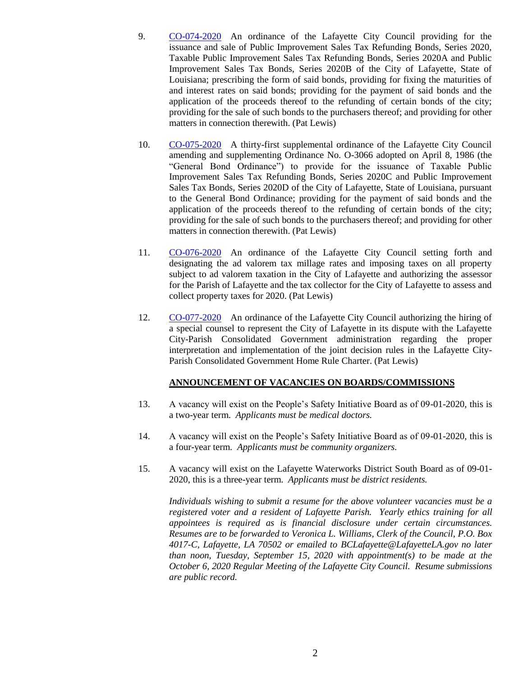- 9. [CO-074-2020](http://apps.lafayettela.gov/OBCouncil/ViewDocument.aspx?docID=1878673) An ordinance of the Lafayette City Council providing for the issuance and sale of Public Improvement Sales Tax Refunding Bonds, Series 2020, Taxable Public Improvement Sales Tax Refunding Bonds, Series 2020A and Public Improvement Sales Tax Bonds, Series 2020B of the City of Lafayette, State of Louisiana; prescribing the form of said bonds, providing for fixing the maturities of and interest rates on said bonds; providing for the payment of said bonds and the application of the proceeds thereof to the refunding of certain bonds of the city; providing for the sale of such bonds to the purchasers thereof; and providing for other matters in connection therewith. (Pat Lewis)
- 10. [CO-075-2020](http://apps.lafayettela.gov/OBCouncil/ViewDocument.aspx?docID=1878674) A thirty-first supplemental ordinance of the Lafayette City Council amending and supplementing Ordinance No. O-3066 adopted on April 8, 1986 (the "General Bond Ordinance") to provide for the issuance of Taxable Public Improvement Sales Tax Refunding Bonds, Series 2020C and Public Improvement Sales Tax Bonds, Series 2020D of the City of Lafayette, State of Louisiana, pursuant to the General Bond Ordinance; providing for the payment of said bonds and the application of the proceeds thereof to the refunding of certain bonds of the city; providing for the sale of such bonds to the purchasers thereof; and providing for other matters in connection therewith. (Pat Lewis)
- 11. [CO-076-2020](http://apps.lafayettela.gov/OBCouncil/ViewDocument.aspx?docID=1878675) An ordinance of the Lafayette City Council setting forth and designating the ad valorem tax millage rates and imposing taxes on all property subject to ad valorem taxation in the City of Lafayette and authorizing the assessor for the Parish of Lafayette and the tax collector for the City of Lafayette to assess and collect property taxes for 2020. (Pat Lewis)
- 12. [CO-077-2020](http://apps.lafayettela.gov/OBCouncil/ViewDocument.aspx?docID=1878676) An ordinance of the Lafayette City Council authorizing the hiring of a special counsel to represent the City of Lafayette in its dispute with the Lafayette City-Parish Consolidated Government administration regarding the proper interpretation and implementation of the joint decision rules in the Lafayette City-Parish Consolidated Government Home Rule Charter. (Pat Lewis)

#### **ANNOUNCEMENT OF VACANCIES ON BOARDS/COMMISSIONS**

- 13. A vacancy will exist on the People's Safety Initiative Board as of 09-01-2020, this is a two-year term. *Applicants must be medical doctors.*
- 14. A vacancy will exist on the People's Safety Initiative Board as of 09-01-2020, this is a four-year term. *Applicants must be community organizers.*
- 15. A vacancy will exist on the Lafayette Waterworks District South Board as of 09-01- 2020, this is a three-year term. *Applicants must be district residents.*

*Individuals wishing to submit a resume for the above volunteer vacancies must be a registered voter and a resident of Lafayette Parish. Yearly ethics training for all appointees is required as is financial disclosure under certain circumstances. Resumes are to be forwarded to Veronica L. Williams, Clerk of the Council, P.O. Box 4017-C, Lafayette, LA 70502 or emailed to BCLafayette@LafayetteLA.gov no later than noon, Tuesday, September 15, 2020 with appointment(s) to be made at the October 6, 2020 Regular Meeting of the Lafayette City Council. Resume submissions are public record.*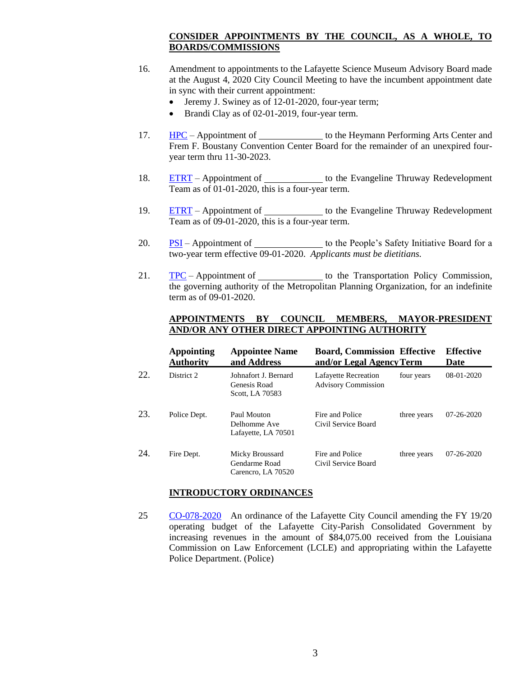## **CONSIDER APPOINTMENTS BY THE COUNCIL, AS A WHOLE, TO BOARDS/COMMISSIONS**

- 16. Amendment to appointments to the Lafayette Science Museum Advisory Board made at the August 4, 2020 City Council Meeting to have the incumbent appointment date in sync with their current appointment:
	- Jeremy J. Swiney as of 12-01-2020, four-year term;
	- Brandi Clay as of 02-01-2019, four-year term.
- 17. [HPC](http://apps.lafayettela.gov/OBCouncil/ViewDocument.aspx?docID=1878677) Appointment of the Heymann Performing Arts Center and Frem F. Boustany Convention Center Board for the remainder of an unexpired fouryear term thru 11-30-2023.
- 18. [ETRT](http://apps.lafayettela.gov/OBCouncil/ViewDocument.aspx?docID=1878678) Appointment of the Evangeline Thruway Redevelopment Team as of 01-01-2020, this is a four-year term.
- 19. [ETRT](http://apps.lafayettela.gov/OBCouncil/ViewDocument.aspx?docID=1878679) Appointment of \_\_\_\_\_\_\_\_\_\_\_\_\_ to the Evangeline Thruway Redevelopment Team as of 09-01-2020, this is a four-year term.
- 20.  $PSI$  Appointment of  $\qquad$  to the People's Safety Initiative Board for a two-year term effective 09-01-2020. *Applicants must be dietitians.*
- 21. [TPC](http://apps.lafayettela.gov/OBCouncil/ViewDocument.aspx?docID=1878681) Appointment of the Transportation Policy Commission, the governing authority of the Metropolitan Planning Organization, for an indefinite term as of 09-01-2020.

## **APPOINTMENTS BY COUNCIL MEMBERS, MAYOR-PRESIDENT AND/OR ANY OTHER DIRECT APPOINTING AUTHORITY**

|     | <b>Appointing</b><br><b>Authority</b> | <b>Appointee Name</b><br>and Address                    | <b>Board, Commission Effective</b><br>and/or Legal Agency Term |             | <b>Effective</b><br>Date |
|-----|---------------------------------------|---------------------------------------------------------|----------------------------------------------------------------|-------------|--------------------------|
| 22. | District 2                            | Johnafort J. Bernard<br>Genesis Road<br>Scott, LA 70583 | <b>Lafayette Recreation</b><br><b>Advisory Commission</b>      | four years  | $08-01-2020$             |
| 23. | Police Dept.                          | Paul Mouton<br>Delhomme Ave<br>Lafayette, LA 70501      | Fire and Police<br>Civil Service Board                         | three years | 07-26-2020               |
| 24. | Fire Dept.                            | Micky Broussard<br>Gendarme Road<br>Carencro, LA 70520  | Fire and Police<br>Civil Service Board                         | three years | 07-26-2020               |

### **INTRODUCTORY ORDINANCES**

25 [CO-078-2020](http://apps.lafayettela.gov/OBCouncil/ViewDocument.aspx?docID=1878682) An ordinance of the Lafayette City Council amending the FY 19/20 operating budget of the Lafayette City-Parish Consolidated Government by increasing revenues in the amount of \$84,075.00 received from the Louisiana Commission on Law Enforcement (LCLE) and appropriating within the Lafayette Police Department. (Police)